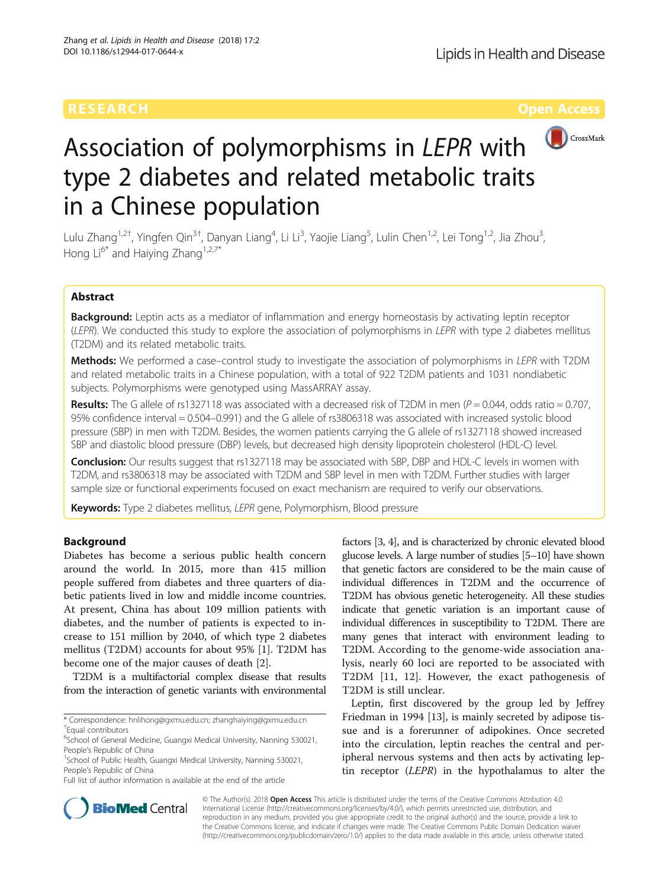

# Association of polymorphisms in LEPR with type 2 diabetes and related metabolic traits in a Chinese population

Lulu Zhang<sup>1,2†</sup>, Yingfen Qin<sup>3†</sup>, Danyan Liang<sup>4</sup>, Li Li<sup>3</sup>, Yaojie Liang<sup>5</sup>, Lulin Chen<sup>1,2</sup>, Lei Tong<sup>1,2</sup>, Jia Zhou<sup>3</sup> , Hong  $Li^{6*}$  and Haiying Zhang<sup>1,2,7\*</sup>

# Abstract

Background: Leptin acts as a mediator of inflammation and energy homeostasis by activating leptin receptor (LEPR). We conducted this study to explore the association of polymorphisms in LEPR with type 2 diabetes mellitus (T2DM) and its related metabolic traits.

Methods: We performed a case–control study to investigate the association of polymorphisms in LEPR with T2DM and related metabolic traits in a Chinese population, with a total of 922 T2DM patients and 1031 nondiabetic subjects. Polymorphisms were genotyped using MassARRAY assay.

**Results:** The G allele of rs1327118 was associated with a decreased risk of T2DM in men ( $P = 0.044$ , odds ratio = 0.707, 95% confidence interval = 0.504–0.991) and the G allele of rs3806318 was associated with increased systolic blood pressure (SBP) in men with T2DM. Besides, the women patients carrying the G allele of rs1327118 showed increased SBP and diastolic blood pressure (DBP) levels, but decreased high density lipoprotein cholesterol (HDL-C) level.

**Conclusion:** Our results suggest that rs1327118 may be associated with SBP, DBP and HDL-C levels in women with T2DM, and rs3806318 may be associated with T2DM and SBP level in men with T2DM. Further studies with larger sample size or functional experiments focused on exact mechanism are required to verify our observations.

Keywords: Type 2 diabetes mellitus, LEPR gene, Polymorphism, Blood pressure

# Background

Diabetes has become a serious public health concern around the world. In 2015, more than 415 million people suffered from diabetes and three quarters of diabetic patients lived in low and middle income countries. At present, China has about 109 million patients with diabetes, and the number of patients is expected to increase to 151 million by 2040, of which type 2 diabetes mellitus (T2DM) accounts for about 95% [[1\]](#page-6-0). T2DM has become one of the major causes of death [\[2](#page-6-0)].

T2DM is a multifactorial complex disease that results from the interaction of genetic variants with environmental

\* Correspondence: [hnlihong@gxmu.edu.cn;](mailto:hnlihong@gxmu.edu.cn) [zhanghaiying@gxmu.edu.cn](mailto:zhanghaiying@gxmu.edu.cn) † Equal contributors

<sup>1</sup>School of Public Health, Guangxi Medical University, Nanning 530021, People's Republic of China

Full list of author information is available at the end of the article

factors [\[3, 4](#page-6-0)], and is characterized by chronic elevated blood glucose levels. A large number of studies [[5](#page-6-0)–[10](#page-6-0)] have shown that genetic factors are considered to be the main cause of individual differences in T2DM and the occurrence of T2DM has obvious genetic heterogeneity. All these studies indicate that genetic variation is an important cause of individual differences in susceptibility to T2DM. There are many genes that interact with environment leading to T2DM. According to the genome-wide association analysis, nearly 60 loci are reported to be associated with T2DM [[11, 12\]](#page-6-0). However, the exact pathogenesis of T2DM is still unclear.

Leptin, first discovered by the group led by Jeffrey Friedman in 1994 [[13\]](#page-6-0), is mainly secreted by adipose tissue and is a forerunner of adipokines. Once secreted into the circulation, leptin reaches the central and peripheral nervous systems and then acts by activating leptin receptor (LEPR) in the hypothalamus to alter the



© The Author(s). 2018 Open Access This article is distributed under the terms of the Creative Commons Attribution 4.0 International License [\(http://creativecommons.org/licenses/by/4.0/](http://creativecommons.org/licenses/by/4.0/)), which permits unrestricted use, distribution, and reproduction in any medium, provided you give appropriate credit to the original author(s) and the source, provide a link to the Creative Commons license, and indicate if changes were made. The Creative Commons Public Domain Dedication waiver [\(http://creativecommons.org/publicdomain/zero/1.0/](http://creativecommons.org/publicdomain/zero/1.0/)) applies to the data made available in this article, unless otherwise stated.

<sup>&</sup>lt;sup>6</sup>School of General Medicine, Guangxi Medical University, Nanning 530021, People's Republic of China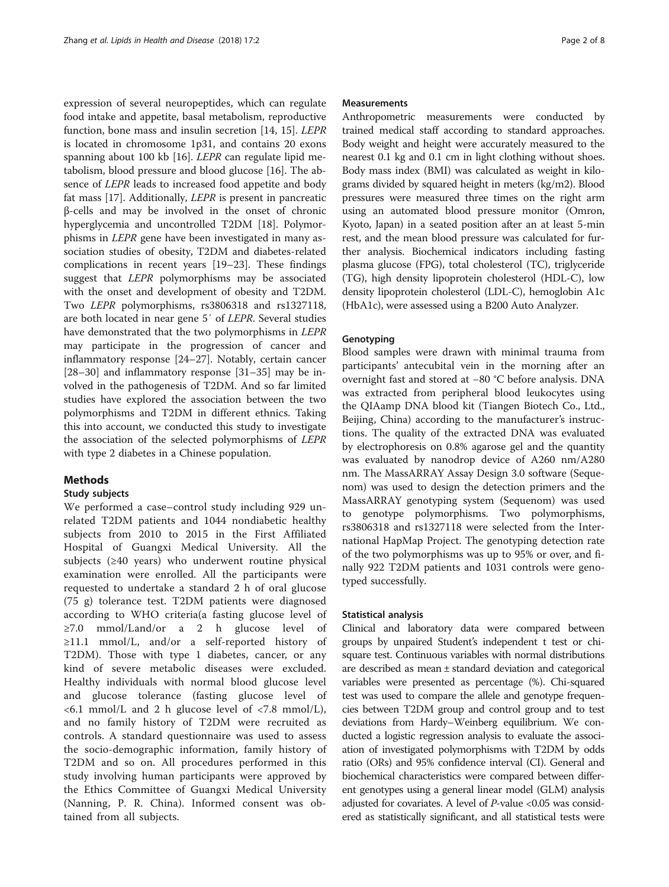expression of several neuropeptides, which can regulate food intake and appetite, basal metabolism, reproductive function, bone mass and insulin secretion [[14, 15\]](#page-6-0). LEPR is located in chromosome 1p31, and contains 20 exons spanning about 100 kb [[16\]](#page-6-0). LEPR can regulate lipid metabolism, blood pressure and blood glucose [\[16](#page-6-0)]. The absence of LEPR leads to increased food appetite and body fat mass [[17](#page-6-0)]. Additionally, LEPR is present in pancreatic β-cells and may be involved in the onset of chronic hyperglycemia and uncontrolled T2DM [[18](#page-6-0)]. Polymorphisms in LEPR gene have been investigated in many association studies of obesity, T2DM and diabetes-related complications in recent years [\[19](#page-6-0)–[23\]](#page-6-0). These findings suggest that LEPR polymorphisms may be associated with the onset and development of obesity and T2DM. Two LEPR polymorphisms, rs3806318 and rs1327118, are both located in near gene 5′ of LEPR. Several studies have demonstrated that the two polymorphisms in LEPR may participate in the progression of cancer and inflammatory response [[24](#page-6-0)–[27](#page-6-0)]. Notably, certain cancer [[28](#page-6-0)–[30](#page-6-0)] and inflammatory response [\[31](#page-6-0)–[35](#page-6-0)] may be involved in the pathogenesis of T2DM. And so far limited studies have explored the association between the two polymorphisms and T2DM in different ethnics. Taking this into account, we conducted this study to investigate the association of the selected polymorphisms of LEPR with type 2 diabetes in a Chinese population.

# **Methods**

# Study subjects

We performed a case–control study including 929 unrelated T2DM patients and 1044 nondiabetic healthy subjects from 2010 to 2015 in the First Affiliated Hospital of Guangxi Medical University. All the subjects (≥40 years) who underwent routine physical examination were enrolled. All the participants were requested to undertake a standard 2 h of oral glucose (75 g) tolerance test. T2DM patients were diagnosed according to WHO criteria(a fasting glucose level of ≥7.0 mmol/Land/or a 2 h glucose level of ≥11.1 mmol/L, and/or a self-reported history of T2DM). Those with type 1 diabetes, cancer, or any kind of severe metabolic diseases were excluded. Healthy individuals with normal blood glucose level and glucose tolerance (fasting glucose level of <6.1 mmol/L and 2 h glucose level of <7.8 mmol/L), and no family history of T2DM were recruited as controls. A standard questionnaire was used to assess the socio-demographic information, family history of T2DM and so on. All procedures performed in this study involving human participants were approved by the Ethics Committee of Guangxi Medical University (Nanning, P. R. China). Informed consent was obtained from all subjects.

# Measurements

Anthropometric measurements were conducted by trained medical staff according to standard approaches. Body weight and height were accurately measured to the nearest 0.1 kg and 0.1 cm in light clothing without shoes. Body mass index (BMI) was calculated as weight in kilograms divided by squared height in meters (kg/m2). Blood pressures were measured three times on the right arm using an automated blood pressure monitor (Omron, Kyoto, Japan) in a seated position after an at least 5-min rest, and the mean blood pressure was calculated for further analysis. Biochemical indicators including fasting plasma glucose (FPG), total cholesterol (TC), triglyceride (TG), high density lipoprotein cholesterol (HDL-C), low density lipoprotein cholesterol (LDL-C), hemoglobin A1c (HbA1c), were assessed using a B200 Auto Analyzer.

# Genotyping

Blood samples were drawn with minimal trauma from participants' antecubital vein in the morning after an overnight fast and stored at −80 °C before analysis. DNA was extracted from peripheral blood leukocytes using the QIAamp DNA blood kit (Tiangen Biotech Co., Ltd., Beijing, China) according to the manufacturer's instructions. The quality of the extracted DNA was evaluated by electrophoresis on 0.8% agarose gel and the quantity was evaluated by nanodrop device of A260 nm/A280 nm. The MassARRAY Assay Design 3.0 software (Sequenom) was used to design the detection primers and the MassARRAY genotyping system (Sequenom) was used to genotype polymorphisms. Two polymorphisms, rs3806318 and rs1327118 were selected from the International HapMap Project. The genotyping detection rate of the two polymorphisms was up to 95% or over, and finally 922 T2DM patients and 1031 controls were genotyped successfully.

# Statistical analysis

Clinical and laboratory data were compared between groups by unpaired Student's independent t test or chisquare test. Continuous variables with normal distributions are described as mean ± standard deviation and categorical variables were presented as percentage (%). Chi-squared test was used to compare the allele and genotype frequencies between T2DM group and control group and to test deviations from Hardy–Weinberg equilibrium. We conducted a logistic regression analysis to evaluate the association of investigated polymorphisms with T2DM by odds ratio (ORs) and 95% confidence interval (CI). General and biochemical characteristics were compared between different genotypes using a general linear model (GLM) analysis adjusted for covariates. A level of  $P$ -value <0.05 was considered as statistically significant, and all statistical tests were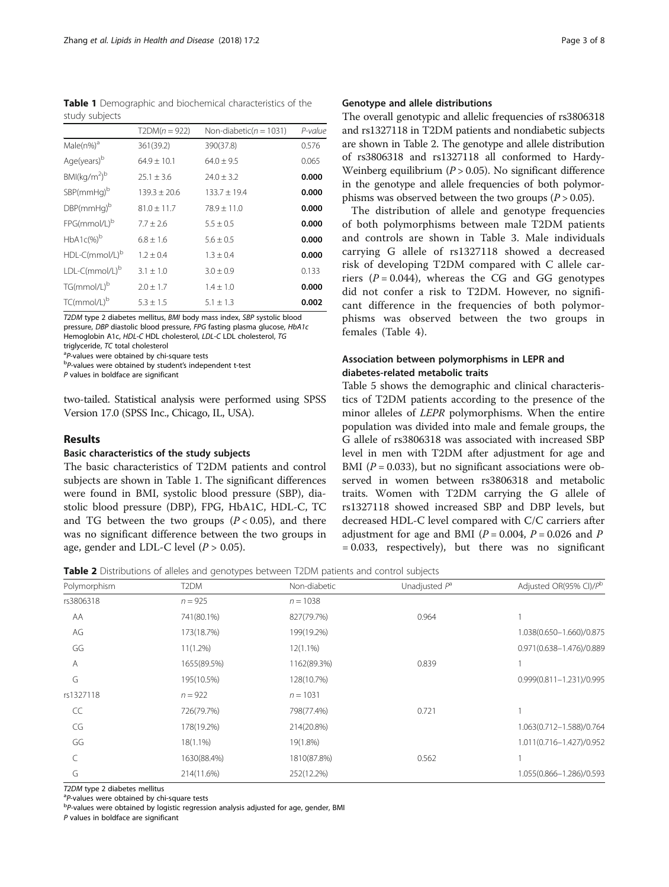Table 1 Demographic and biochemical characteristics of the study subjects

|                                      | $T2DM(n = 922)$  | Non-diabetic( $n = 1031$ ) | P-value |
|--------------------------------------|------------------|----------------------------|---------|
| Male(n%) <sup>a</sup>                | 361(39.2)        | 390(37.8)                  | 0.576   |
| Age(years) <sup>b</sup>              | $64.9 \pm 10.1$  | $64.0 \pm 9.5$             | 0.065   |
| BMl(kq/m <sup>2</sup> ) <sup>b</sup> | $25.1 \pm 3.6$   | $24.0 \pm 3.2$             | 0.000   |
| $SBP(mmHq)^b$                        | $139.3 \pm 20.6$ | $133.7 \pm 19.4$           | 0.000   |
| $DBP(mmHq)^b$                        | $81.0 \pm 11.7$  | $78.9 + 11.0$              | 0.000   |
| FPG(mmol/L) <sup>b</sup>             | $7.7 + 2.6$      | $5.5 + 0.5$                | 0.000   |
| $HbA1c(\%)^b$                        | $6.8 + 1.6$      | $5.6 + 0.5$                | 0.000   |
| HDL-C(mmol/L) <sup>b</sup>           | $1.2 + 0.4$      | $1.3 + 0.4$                | 0.000   |
| LDL-C(mmol/L) <sup>b</sup>           | $3.1 \pm 1.0$    | $3.0 \pm 0.9$              | 0.133   |
| TG(mmol/L) <sup>b</sup>              | $2.0 + 1.7$      | $1.4 \pm 1.0$              | 0.000   |
| TC(mmol/L) <sup>b</sup>              | $5.3 \pm 1.5$    | $5.1 \pm 1.3$              | 0.002   |

T2DM type 2 diabetes mellitus, BMI body mass index, SBP systolic blood pressure, DBP diastolic blood pressure, FPG fasting plasma glucose, HbA1c Hemoglobin A1c, HDL-C HDL cholesterol, LDL-C LDL cholesterol, TG

triglyceride,  $TC$  total cholesterol<br><sup>a</sup>P-values were obtained by chi-square tests

<sup>a</sup>P-values were obtained by chi-square tests<br><sup>b</sup>P-values were obtained by student's independent t-test

P values in boldface are significant

two-tailed. Statistical analysis were performed using SPSS Version 17.0 (SPSS Inc., Chicago, IL, USA).

# Results

# Basic characteristics of the study subjects

The basic characteristics of T2DM patients and control subjects are shown in Table 1. The significant differences were found in BMI, systolic blood pressure (SBP), diastolic blood pressure (DBP), FPG, HbA1C, HDL-C, TC and TG between the two groups  $(P < 0.05)$ , and there was no significant difference between the two groups in age, gender and LDL-C level  $(P > 0.05)$ .

# Genotype and allele distributions

The overall genotypic and allelic frequencies of rs3806318 and rs1327118 in T2DM patients and nondiabetic subjects are shown in Table 2. The genotype and allele distribution of rs3806318 and rs1327118 all conformed to Hardy-Weinberg equilibrium ( $P > 0.05$ ). No significant difference in the genotype and allele frequencies of both polymorphisms was observed between the two groups  $(P > 0.05)$ .

The distribution of allele and genotype frequencies of both polymorphisms between male T2DM patients and controls are shown in Table [3](#page-3-0). Male individuals carrying G allele of rs1327118 showed a decreased risk of developing T2DM compared with C allele carriers ( $P = 0.044$ ), whereas the CG and GG genotypes did not confer a risk to T2DM. However, no significant difference in the frequencies of both polymorphisms was observed between the two groups in females (Table [4\)](#page-3-0).

# Association between polymorphisms in LEPR and diabetes-related metabolic traits

Table [5](#page-4-0) shows the demographic and clinical characteristics of T2DM patients according to the presence of the minor alleles of LEPR polymorphisms. When the entire population was divided into male and female groups, the G allele of rs3806318 was associated with increased SBP level in men with T2DM after adjustment for age and BMI ( $P = 0.033$ ), but no significant associations were observed in women between rs3806318 and metabolic traits. Women with T2DM carrying the G allele of rs1327118 showed increased SBP and DBP levels, but decreased HDL-C level compared with C/C carriers after adjustment for age and BMI ( $P = 0.004$ ,  $P = 0.026$  and P = 0.033, respectively), but there was no significant

**Table 2** Distributions of alleles and genotypes between T2DM patients and control subjects

| Polymorphism | T <sub>2</sub> DM | Non-diabetic | Unadjusted $P^a$ | Adjusted OR(95% CI)/Pb   |
|--------------|-------------------|--------------|------------------|--------------------------|
| rs3806318    | $n = 925$         | $n = 1038$   |                  |                          |
| AA           | 741(80.1%)        | 827(79.7%)   | 0.964            |                          |
| AG           | 173(18.7%)        | 199(19.2%)   |                  | 1.038(0.650-1.660)/0.875 |
| GG           | $11(1.2\%)$       | $12(1.1\%)$  |                  | 0.971(0.638-1.476)/0.889 |
| Α            | 1655(89.5%)       | 1162(89.3%)  | 0.839            |                          |
| G            | 195(10.5%)        | 128(10.7%)   |                  | 0.999(0.811-1.231)/0.995 |
| rs1327118    | $n = 922$         | $n = 1031$   |                  |                          |
| CC           | 726(79.7%)        | 798(77.4%)   | 0.721            |                          |
| CG           | 178(19.2%)        | 214(20.8%)   |                  | 1.063(0.712-1.588)/0.764 |
| GG           | 18(1.1%)          | 19(1.8%)     |                  | 1.011(0.716-1.427)/0.952 |
|              | 1630(88.4%)       | 1810(87.8%)  | 0.562            |                          |
| G            | 214(11.6%)        | 252(12.2%)   |                  | 1.055(0.866-1.286)/0.593 |

T2DM type 2 diabetes mellitus

<sup>a</sup>P-values were obtained by chi-square tests

<sup>b</sup>P-values were obtained by logistic regression analysis adjusted for age, gender, BMI

P values in boldface are significant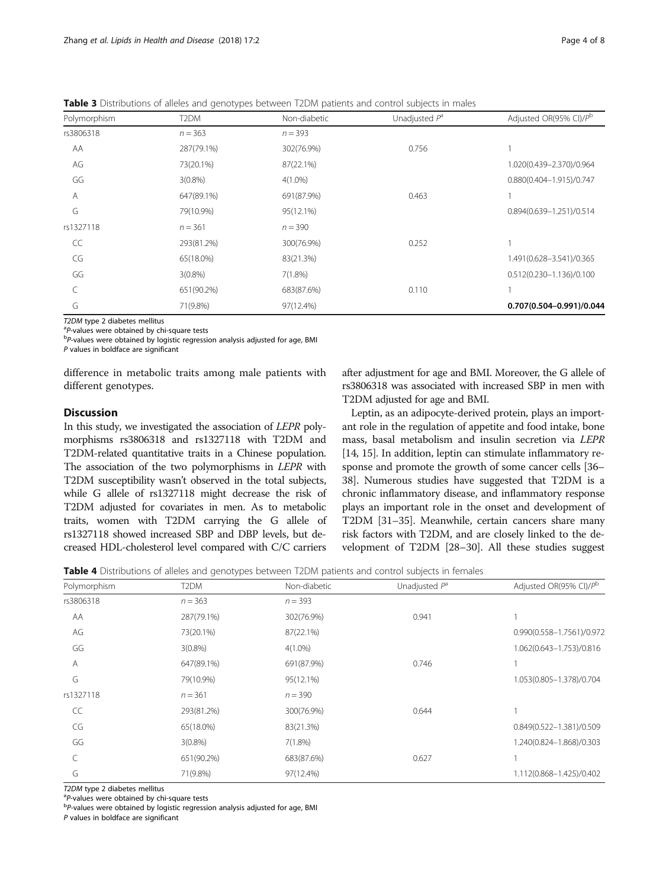<span id="page-3-0"></span>Table 3 Distributions of alleles and genotypes between T2DM patients and control subjects in males

| Polymorphism | T <sub>2</sub> DM | Non-diabetic | Unadjusted $P^a$ | Adjusted OR(95% CI)/Pb   |
|--------------|-------------------|--------------|------------------|--------------------------|
| rs3806318    | $n = 363$         | $n = 393$    |                  |                          |
| AA           | 287(79.1%)        | 302(76.9%)   | 0.756            |                          |
| AG           | 73(20.1%)         | 87(22.1%)    |                  | 1.020(0.439-2.370)/0.964 |
| GG           | $3(0.8\%)$        | $4(1.0\%)$   |                  | 0.880(0.404-1.915)/0.747 |
| Α            | 647(89.1%)        | 691(87.9%)   | 0.463            |                          |
| G            | 79(10.9%)         | 95(12.1%)    |                  | 0.894(0.639-1.251)/0.514 |
| rs1327118    | $n = 361$         | $n = 390$    |                  |                          |
| CC           | 293(81.2%)        | 300(76.9%)   | 0.252            |                          |
| CG           | 65(18.0%)         | 83(21.3%)    |                  | 1.491(0.628-3.541)/0.365 |
| GG           | $3(0.8\%)$        | $7(1.8\%)$   |                  | 0.512(0.230-1.136)/0.100 |
|              | 651(90.2%)        | 683(87.6%)   | 0.110            |                          |
| G            | 71(9.8%)          | 97(12.4%)    |                  | 0.707(0.504-0.991)/0.044 |

T2DM type 2 diabetes mellitus

<sup>a</sup>P-values were obtained by chi-square tests  $P$ -values were obtained by logistic regression analysis adjusted for age, BMI

P values in boldface are significant

difference in metabolic traits among male patients with different genotypes.

# **Discussion**

In this study, we investigated the association of LEPR polymorphisms rs3806318 and rs1327118 with T2DM and T2DM-related quantitative traits in a Chinese population. The association of the two polymorphisms in LEPR with T2DM susceptibility wasn't observed in the total subjects, while G allele of rs1327118 might decrease the risk of T2DM adjusted for covariates in men. As to metabolic traits, women with T2DM carrying the G allele of rs1327118 showed increased SBP and DBP levels, but decreased HDL-cholesterol level compared with C/C carriers

after adjustment for age and BMI. Moreover, the G allele of rs3806318 was associated with increased SBP in men with T2DM adjusted for age and BMI.

Leptin, as an adipocyte-derived protein, plays an important role in the regulation of appetite and food intake, bone mass, basal metabolism and insulin secretion via LEPR [[14](#page-6-0), [15\]](#page-6-0). In addition, leptin can stimulate inflammatory response and promote the growth of some cancer cells [\[36](#page-6-0)– [38](#page-6-0)]. Numerous studies have suggested that T2DM is a chronic inflammatory disease, and inflammatory response plays an important role in the onset and development of T2DM [[31](#page-6-0)–[35\]](#page-6-0). Meanwhile, certain cancers share many risk factors with T2DM, and are closely linked to the development of T2DM [[28](#page-6-0)–[30\]](#page-6-0). All these studies suggest

Table 4 Distributions of alleles and genotypes between T2DM patients and control subjects in females

| Polymorphism | T <sub>2</sub> DM | Non-diabetic | Unadjusted $P^a$ | Adjusted OR(95% CI)/Pb    |
|--------------|-------------------|--------------|------------------|---------------------------|
| rs3806318    | $n = 363$         | $n = 393$    |                  |                           |
| AA           | 287(79.1%)        | 302(76.9%)   | 0.941            |                           |
| AG           | 73(20.1%)         | 87(22.1%)    |                  | 0.990(0.558-1.7561)/0.972 |
| GG           | $3(0.8\%)$        | $4(1.0\%)$   |                  | 1.062(0.643-1.753)/0.816  |
| $\mathsf{A}$ | 647(89.1%)        | 691(87.9%)   | 0.746            |                           |
| G            | 79(10.9%)         | 95(12.1%)    |                  | 1.053(0.805-1.378)/0.704  |
| rs1327118    | $n = 361$         | $n = 390$    |                  |                           |
| CC           | 293(81.2%)        | 300(76.9%)   | 0.644            |                           |
| CG           | 65(18.0%)         | 83(21.3%)    |                  | 0.849(0.522-1.381)/0.509  |
| GG           | $3(0.8\%)$        | 7(1.8%)      |                  | 1.240(0.824-1.868)/0.303  |
|              | 651(90.2%)        | 683(87.6%)   | 0.627            |                           |
| G            | 71(9.8%)          | 97(12.4%)    |                  | 1.112(0.868-1.425)/0.402  |

T2DM type 2 diabetes mellitus

<sup>a</sup>P-values were obtained by chi-square tests

 $P$ -values were obtained by logistic regression analysis adjusted for age, BMI

P values in boldface are significant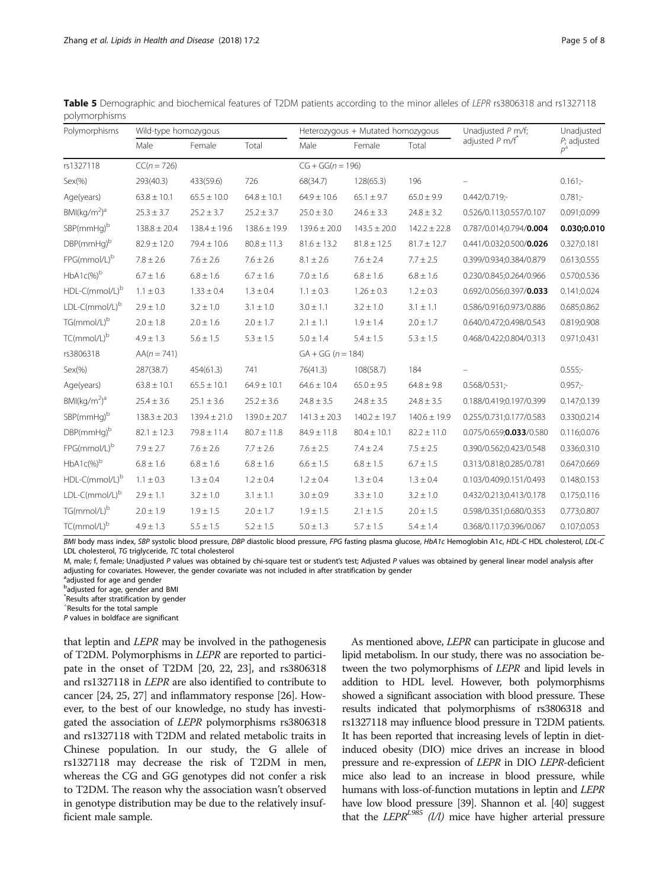| Polymorphisms                        | Wild-type homozygous |                  |                  | Heterozygous + Mutated homozygous |                  |                  | Unadjusted P m/f;             | Unadjusted                        |
|--------------------------------------|----------------------|------------------|------------------|-----------------------------------|------------------|------------------|-------------------------------|-----------------------------------|
|                                      | Male                 | Female           | Total            | Male                              | Female           | Total            | adjusted $P$ m/f <sup>*</sup> | $P$ ; adjusted<br>$D^{\triangle}$ |
| rs1327118                            | $CC(n = 726)$        |                  |                  | $CG + GG(n = 196)$                |                  |                  |                               |                                   |
| Sex(% )                              | 293(40.3)            | 433(59.6)        | 726              | 68(34.7)                          | 128(65.3)        | 196              |                               | $0.161$ ;-                        |
| Age(years)                           | $63.8 \pm 10.1$      | $65.5 \pm 10.0$  | $64.8 \pm 10.1$  | $64.9 \pm 10.6$                   | $65.1 \pm 9.7$   | $65.0 \pm 9.9$   | $0.442/0.719$ ;-              | $0.781 -$                         |
| BMl(kq/m <sup>2</sup> ) <sup>a</sup> | $25.3 \pm 3.7$       | $25.2 \pm 3.7$   | $25.2 \pm 3.7$   | $25.0 \pm 3.0$                    | $24.6 \pm 3.3$   | $24.8 \pm 3.2$   | 0.526/0.113;0.557/0.107       | 0.091;0.099                       |
| SBP(mmHg)b                           | $138.8 \pm 20.4$     | $138.4 \pm 19.6$ | $138.6 \pm 19.9$ | $139.6 \pm 20.0$                  | $143.5 \pm 20.0$ | $142.2 \pm 22.8$ | 0.787/0.014;0.794/0.004       | 0.030;0.010                       |
| $DBP$ (mm $Hq$ ) <sup>b</sup>        | $82.9 \pm 12.0$      | $79.4 \pm 10.6$  | $80.8 \pm 11.3$  | $81.6 \pm 13.2$                   | $81.8 \pm 12.5$  | $81.7 \pm 12.7$  | 0.441/0.032;0.500/0.026       | 0.327;0.181                       |
| FPG(mmol/L) <sup>b</sup>             | $7.8 \pm 2.6$        | $7.6 \pm 2.6$    | $7.6 \pm 2.6$    | $8.1 \pm 2.6$                     | $7.6 \pm 2.4$    | $7.7 \pm 2.5$    | 0.399/0.934;0.384/0.879       | 0.613;0.555                       |
| $HbA1c(\%)^b$                        | $6.7 \pm 1.6$        | $6.8 \pm 1.6$    | $6.7 \pm 1.6$    | $7.0 \pm 1.6$                     | $6.8 \pm 1.6$    | $6.8 \pm 1.6$    | 0.230/0.845;0.264/0.966       | 0.570;0.536                       |
| HDL-C(mmol/L) <sup>b</sup>           | $1.1 \pm 0.3$        | $1.33 \pm 0.4$   | $1.3 \pm 0.4$    | $1.1 \pm 0.3$                     | $1.26 \pm 0.3$   | $1.2 \pm 0.3$    | 0.692/0.056;0.397/0.033       | 0.141;0.024                       |
| LDL-C(mmol/L) <sup>b</sup>           | $2.9 \pm 1.0$        | $3.2 \pm 1.0$    | $3.1 \pm 1.0$    | $3.0 \pm 1.1$                     | $3.2 \pm 1.0$    | $3.1 \pm 1.1$    | 0.586/0.916;0.973/0.886       | 0.685;0.862                       |
| TG(mmol/L) <sup>b</sup>              | $2.0 \pm 1.8$        | $2.0 \pm 1.6$    | $2.0 \pm 1.7$    | $2.1 \pm 1.1$                     | $1.9 \pm 1.4$    | $2.0 \pm 1.7$    | 0.640/0.472;0.498/0.543       | 0.819;0.908                       |
| TC(mmol/L) <sup>b</sup>              | $4.9 \pm 1.3$        | $5.6 \pm 1.5$    | $5.3 \pm 1.5$    | $5.0 \pm 1.4$                     | $5.4 \pm 1.5$    | $5.3 \pm 1.5$    | 0.468/0.422;0.804/0.313       | 0.971;0.431                       |
| rs3806318                            | $AA(n = 741)$        |                  |                  | $GA + GG (n = 184)$               |                  |                  |                               |                                   |
| Sex(% )                              | 287(38.7)            | 454(61.3)        | 741              | 76(41.3)                          | 108(58.7)        | 184              |                               | $0.555 -$                         |
| Age(years)                           | $63.8 \pm 10.1$      | $65.5 \pm 10.1$  | $64.9 \pm 10.1$  | $64.6 \pm 10.4$                   | $65.0 \pm 9.5$   | $64.8 \pm 9.8$   | $0.568/0.531$ ;-              | $0.957 -$                         |
| BMl(kq/m <sup>2</sup> ) <sup>a</sup> | $25.4 \pm 3.6$       | $25.1 \pm 3.6$   | $25.2 \pm 3.6$   | $24.8 \pm 3.5$                    | $24.8 \pm 3.5$   | $24.8 \pm 3.5$   | 0.188/0.419;0.197/0.399       | 0.147;0.139                       |
| $SBP(mmHq)^b$                        | $138.3 \pm 20.3$     | $139.4 \pm 21.0$ | $139.0 \pm 20.7$ | $141.3 \pm 20.3$                  | $140.2 \pm 19.7$ | $140.6 \pm 19.9$ | 0.255/0.731;0.177/0.583       | 0.330;0.214                       |
| $DBP$ (mm $Hq$ ) <sup>b</sup>        | $82.1 \pm 12.3$      | $79.8 \pm 11.4$  | $80.7 \pm 11.8$  | $84.9 \pm 11.8$                   | $80.4 \pm 10.1$  | $82.2 \pm 11.0$  | 0.075/0.659;0.033/0.580       | 0.116;0.076                       |
| FPG(mmol/L) <sup>b</sup>             | $7.9 \pm 2.7$        | $7.6 \pm 2.6$    | $7.7 \pm 2.6$    | $7.6 \pm 2.5$                     | $7.4 \pm 2.4$    | $7.5 \pm 2.5$    | 0.390/0.562;0.423/0.548       | 0.336;0.310                       |
| $HbA1c(\%)^b$                        | $6.8 \pm 1.6$        | $6.8 \pm 1.6$    | $6.8 \pm 1.6$    | $6.6 \pm 1.5$                     | $6.8 \pm 1.5$    | $6.7 \pm 1.5$    | 0.313/0.818;0.285/0.781       | 0.647;0.669                       |
| HDL-C(mmol/L)b                       | $1.1 \pm 0.3$        | $1.3 \pm 0.4$    | $1.2 \pm 0.4$    | $1.2 \pm 0.4$                     | $1.3 \pm 0.4$    | $1.3 \pm 0.4$    | 0.103/0.409;0.151/0.493       | 0.148;0.153                       |
| LDL-C(mmol/L)b                       | $2.9 \pm 1.1$        | $3.2 \pm 1.0$    | $3.1 \pm 1.1$    | $3.0 \pm 0.9$                     | $3.3 \pm 1.0$    | $3.2 \pm 1.0$    | 0.432/0.213;0.413/0.178       | 0.175;0.116                       |
| TG(mmol/L)b                          | $2.0 \pm 1.9$        | $1.9 \pm 1.5$    | $2.0 \pm 1.7$    | $1.9 \pm 1.5$                     | $2.1 \pm 1.5$    | $2.0 \pm 1.5$    | 0.598/0.351;0.680/0.353       | 0.773;0.807                       |
| TC(mmol/L)b                          | $4.9 \pm 1.3$        | $5.5 \pm 1.5$    | $5.2 \pm 1.5$    | $5.0 \pm 1.3$                     | $5.7 \pm 1.5$    | $5.4 \pm 1.4$    | 0.368/0.117:0.396/0.067       | 0.107:0.053                       |

<span id="page-4-0"></span>Table 5 Demographic and biochemical features of T2DM patients according to the minor alleles of LEPR rs3806318 and rs1327118 polymorphisms

BMI body mass index, SBP systolic blood pressure, DBP diastolic blood pressure, FPG fasting plasma glucose, HbA1c Hemoglobin A1c, HDL-C HDL cholesterol, LDL-C LDL cholesterol, TG triglyceride, TC total cholesterol

M, male; f, female; Unadjusted P values was obtained by chi-square test or student's test; Adjusted P values was obtained by general linear model analysis after adjusting for covariates. However, the gender covariate was not included in after stratification by gender

<sup>a</sup>adjusted for age and gender

<sup>b</sup>adjusted for age, gender and BMI

\* Results after stratification by gender

△ Results for the total sample

P values in boldface are significant

that leptin and LEPR may be involved in the pathogenesis of T2DM. Polymorphisms in LEPR are reported to participate in the onset of T2DM [\[20](#page-6-0), [22, 23](#page-6-0)], and rs3806318 and rs1327118 in LEPR are also identified to contribute to cancer [[24, 25](#page-6-0), [27](#page-6-0)] and inflammatory response [[26\]](#page-6-0). However, to the best of our knowledge, no study has investigated the association of LEPR polymorphisms rs3806318 and rs1327118 with T2DM and related metabolic traits in Chinese population. In our study, the G allele of rs1327118 may decrease the risk of T2DM in men, whereas the CG and GG genotypes did not confer a risk to T2DM. The reason why the association wasn't observed in genotype distribution may be due to the relatively insufficient male sample.

As mentioned above, LEPR can participate in glucose and lipid metabolism. In our study, there was no association between the two polymorphisms of LEPR and lipid levels in addition to HDL level. However, both polymorphisms showed a significant association with blood pressure. These results indicated that polymorphisms of rs3806318 and rs1327118 may influence blood pressure in T2DM patients. It has been reported that increasing levels of leptin in dietinduced obesity (DIO) mice drives an increase in blood pressure and re-expression of LEPR in DIO LEPR-deficient mice also lead to an increase in blood pressure, while humans with loss-of-function mutations in leptin and LEPR have low blood pressure [\[39](#page-6-0)]. Shannon et al. [[40\]](#page-6-0) suggest that the LEPR<sup>L985</sup> ( $1$ /l) mice have higher arterial pressure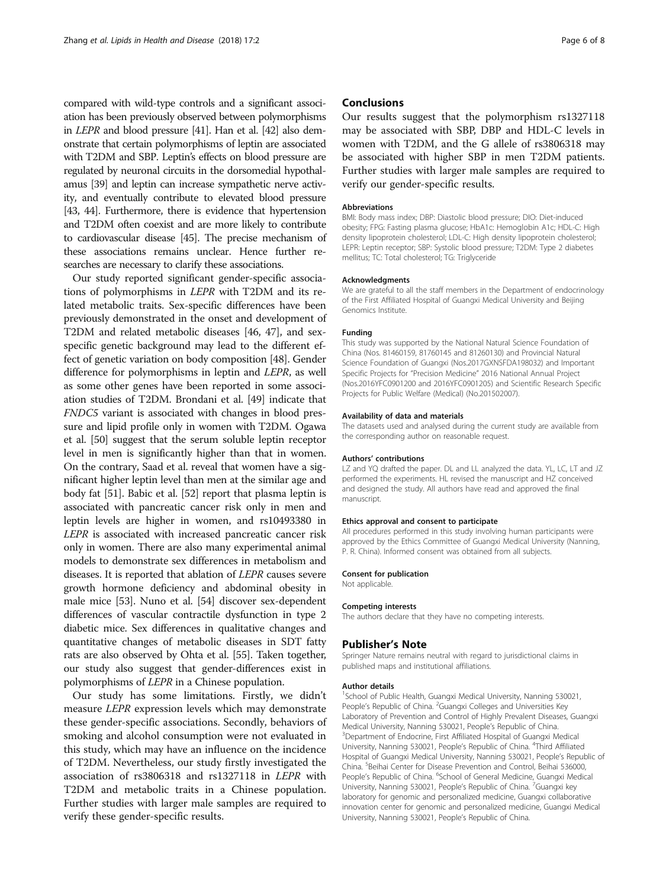compared with wild-type controls and a significant association has been previously observed between polymorphisms in LEPR and blood pressure [[41](#page-6-0)]. Han et al. [\[42](#page-6-0)] also demonstrate that certain polymorphisms of leptin are associated with T2DM and SBP. Leptin's effects on blood pressure are regulated by neuronal circuits in the dorsomedial hypothalamus [\[39](#page-6-0)] and leptin can increase sympathetic nerve activity, and eventually contribute to elevated blood pressure [[43](#page-6-0), [44](#page-6-0)]. Furthermore, there is evidence that hypertension and T2DM often coexist and are more likely to contribute to cardiovascular disease [\[45\]](#page-6-0). The precise mechanism of these associations remains unclear. Hence further researches are necessary to clarify these associations.

Our study reported significant gender-specific associations of polymorphisms in LEPR with T2DM and its related metabolic traits. Sex-specific differences have been previously demonstrated in the onset and development of T2DM and related metabolic diseases [[46](#page-6-0), [47](#page-6-0)], and sexspecific genetic background may lead to the different effect of genetic variation on body composition [\[48\]](#page-7-0). Gender difference for polymorphisms in leptin and LEPR, as well as some other genes have been reported in some association studies of T2DM. Brondani et al. [\[49\]](#page-7-0) indicate that FNDC5 variant is associated with changes in blood pressure and lipid profile only in women with T2DM. Ogawa et al. [[50](#page-7-0)] suggest that the serum soluble leptin receptor level in men is significantly higher than that in women. On the contrary, Saad et al. reveal that women have a significant higher leptin level than men at the similar age and body fat [[51](#page-7-0)]. Babic et al. [\[52](#page-7-0)] report that plasma leptin is associated with pancreatic cancer risk only in men and leptin levels are higher in women, and rs10493380 in LEPR is associated with increased pancreatic cancer risk only in women. There are also many experimental animal models to demonstrate sex differences in metabolism and diseases. It is reported that ablation of LEPR causes severe growth hormone deficiency and abdominal obesity in male mice [\[53\]](#page-7-0). Nuno et al. [[54](#page-7-0)] discover sex-dependent differences of vascular contractile dysfunction in type 2 diabetic mice. Sex differences in qualitative changes and quantitative changes of metabolic diseases in SDT fatty rats are also observed by Ohta et al. [\[55\]](#page-7-0). Taken together, our study also suggest that gender-differences exist in polymorphisms of LEPR in a Chinese population.

Our study has some limitations. Firstly, we didn't measure LEPR expression levels which may demonstrate these gender-specific associations. Secondly, behaviors of smoking and alcohol consumption were not evaluated in this study, which may have an influence on the incidence of T2DM. Nevertheless, our study firstly investigated the association of rs3806318 and rs1327118 in LEPR with T2DM and metabolic traits in a Chinese population. Further studies with larger male samples are required to verify these gender-specific results.

# **Conclusions**

Our results suggest that the polymorphism rs1327118 may be associated with SBP, DBP and HDL-C levels in women with T2DM, and the G allele of rs3806318 may be associated with higher SBP in men T2DM patients. Further studies with larger male samples are required to verify our gender-specific results.

#### Abbreviations

BMI: Body mass index; DBP: Diastolic blood pressure; DIO: Diet-induced obesity; FPG: Fasting plasma glucose; HbA1c: Hemoglobin A1c; HDL-C: High density lipoprotein cholesterol; LDL-C: High density lipoprotein cholesterol; LEPR: Leptin receptor; SBP: Systolic blood pressure; T2DM: Type 2 diabetes mellitus; TC: Total cholesterol; TG: Triglyceride

#### Acknowledgments

We are grateful to all the staff members in the Department of endocrinology of the First Affiliated Hospital of Guangxi Medical University and Beijing Genomics Institute.

#### Funding

This study was supported by the National Natural Science Foundation of China (Nos. 81460159, 81760145 and 81260130) and Provincial Natural Science Foundation of Guangxi (Nos.2017GXNSFDA198032) and Important Specific Projects for "Precision Medicine" 2016 National Annual Project (Nos.2016YFC0901200 and 2016YFC0901205) and Scientific Research Specific Projects for Public Welfare (Medical) (No.201502007).

#### Availability of data and materials

The datasets used and analysed during the current study are available from the corresponding author on reasonable request.

# Authors' contributions

LZ and YQ drafted the paper. DL and LL analyzed the data. YL, LC, LT and JZ performed the experiments. HL revised the manuscript and HZ conceived and designed the study. All authors have read and approved the final manuscript.

#### Ethics approval and consent to participate

All procedures performed in this study involving human participants were approved by the Ethics Committee of Guangxi Medical University (Nanning, P. R. China). Informed consent was obtained from all subjects.

# Consent for publication

Not applicable.

#### Competing interests

The authors declare that they have no competing interests.

#### Publisher's Note

Springer Nature remains neutral with regard to jurisdictional claims in published maps and institutional affiliations.

### Author details

<sup>1</sup>School of Public Health, Guangxi Medical University, Nanning 530021 People's Republic of China. <sup>2</sup>Guangxi Colleges and Universities Key Laboratory of Prevention and Control of Highly Prevalent Diseases, Guangxi Medical University, Nanning 530021, People's Republic of China. <sup>3</sup> <sup>3</sup>Department of Endocrine, First Affiliated Hospital of Guangxi Medical University, Nanning 530021, People's Republic of China. <sup>4</sup>Third Affiliated Hospital of Guangxi Medical University, Nanning 530021, People's Republic of China. <sup>5</sup> Beihai Center for Disease Prevention and Control, Beihai 536000, People's Republic of China. <sup>6</sup>School of General Medicine, Guangxi Medical University, Nanning 530021, People's Republic of China. <sup>7</sup>Guangxi key laboratory for genomic and personalized medicine, Guangxi collaborative innovation center for genomic and personalized medicine, Guangxi Medical University, Nanning 530021, People's Republic of China.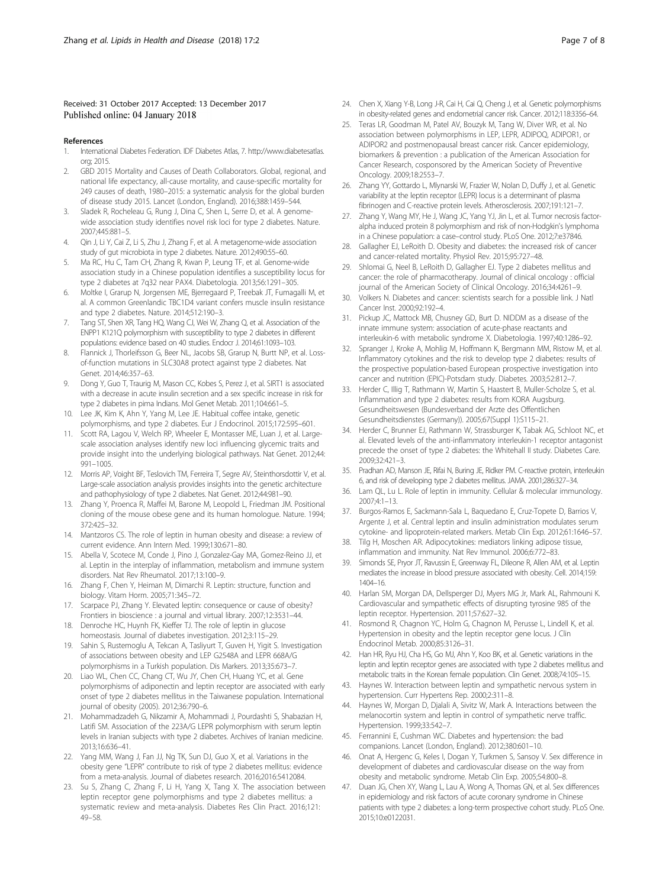## <span id="page-6-0"></span>Received: 31 October 2017 Accepted: 13 December 2017 Published online: 04 January 2018

#### References

- 1. International Diabetes Federation. IDF Diabetes Atlas, 7. http://www.diabetesatlas. org; 2015.
- 2. GBD 2015 Mortality and Causes of Death Collaborators. Global, regional, and national life expectancy, all-cause mortality, and cause-specific mortality for 249 causes of death, 1980–2015: a systematic analysis for the global burden of disease study 2015. Lancet (London, England). 2016;388:1459–544.
- 3. Sladek R, Rocheleau G, Rung J, Dina C, Shen L, Serre D, et al. A genomewide association study identifies novel risk loci for type 2 diabetes. Nature. 2007;445:881–5.
- Qin J, Li Y, Cai Z, Li S, Zhu J, Zhang F, et al. A metagenome-wide association study of gut microbiota in type 2 diabetes. Nature. 2012;490:55–60.
- 5. Ma RC, Hu C, Tam CH, Zhang R, Kwan P, Leung TF, et al. Genome-wide association study in a Chinese population identifies a susceptibility locus for type 2 diabetes at 7q32 near PAX4. Diabetologia. 2013;56:1291–305.
- 6. Moltke I, Grarup N, Jorgensen ME, Bjerregaard P, Treebak JT, Fumagalli M, et al. A common Greenlandic TBC1D4 variant confers muscle insulin resistance and type 2 diabetes. Nature. 2014;512:190–3.
- 7. Tang ST, Shen XR, Tang HQ, Wang CJ, Wei W, Zhang Q, et al. Association of the ENPP1 K121Q polymorphism with susceptibility to type 2 diabetes in different populations: evidence based on 40 studies. Endocr J. 2014;61:1093–103.
- 8. Flannick J, Thorleifsson G, Beer NL, Jacobs SB, Grarup N, Burtt NP, et al. Lossof-function mutations in SLC30A8 protect against type 2 diabetes. Nat Genet. 2014;46:357–63.
- 9. Dong Y, Guo T, Traurig M, Mason CC, Kobes S, Perez J, et al. SIRT1 is associated with a decrease in acute insulin secretion and a sex specific increase in risk for type 2 diabetes in pima Indians. Mol Genet Metab. 2011;104:661–5.
- 10. Lee JK, Kim K, Ahn Y, Yang M, Lee JE. Habitual coffee intake, genetic polymorphisms, and type 2 diabetes. Eur J Endocrinol. 2015;172:595–601.
- 11. Scott RA, Lagou V, Welch RP, Wheeler E, Montasser ME, Luan J, et al. Largescale association analyses identify new loci influencing glycemic traits and provide insight into the underlying biological pathways. Nat Genet. 2012;44: 991–1005.
- 12. Morris AP, Voight BF, Teslovich TM, Ferreira T, Segre AV, Steinthorsdottir V, et al. Large-scale association analysis provides insights into the genetic architecture and pathophysiology of type 2 diabetes. Nat Genet. 2012;44:981–90.
- 13. Zhang Y, Proenca R, Maffei M, Barone M, Leopold L, Friedman JM. Positional cloning of the mouse obese gene and its human homologue. Nature. 1994; 372:425–32.
- 14. Mantzoros CS. The role of leptin in human obesity and disease: a review of current evidence. Ann Intern Med. 1999;130:671–80.
- 15. Abella V, Scotece M, Conde J, Pino J, Gonzalez-Gay MA, Gomez-Reino JJ, et al. Leptin in the interplay of inflammation, metabolism and immune system disorders. Nat Rev Rheumatol. 2017;13:100–9.
- Zhang F, Chen Y, Heiman M, Dimarchi R. Leptin: structure, function and biology. Vitam Horm. 2005;71:345–72.
- 17. Scarpace PJ, Zhang Y. Elevated leptin: consequence or cause of obesity? Frontiers in bioscience : a journal and virtual library. 2007;12:3531–44.
- 18. Denroche HC, Huynh FK, Kieffer TJ. The role of leptin in glucose homeostasis. Journal of diabetes investigation. 2012;3:115–29.
- 19. Sahin S, Rustemoglu A, Tekcan A, Tasliyurt T, Guven H, Yigit S. Investigation of associations between obesity and LEP G2548A and LEPR 668A/G polymorphisms in a Turkish population. Dis Markers. 2013;35:673–7.
- 20. Liao WL, Chen CC, Chang CT, Wu JY, Chen CH, Huang YC, et al. Gene polymorphisms of adiponectin and leptin receptor are associated with early onset of type 2 diabetes mellitus in the Taiwanese population. International journal of obesity (2005). 2012;36:790–6.
- 21. Mohammadzadeh G, Nikzamir A, Mohammadi J, Pourdashti S, Shabazian H, Latifi SM. Association of the 223A/G LEPR polymorphism with serum leptin levels in Iranian subjects with type 2 diabetes. Archives of Iranian medicine. 2013;16:636–41.
- 22. Yang MM, Wang J, Fan JJ, Ng TK, Sun DJ, Guo X, et al. Variations in the obesity gene "LEPR" contribute to risk of type 2 diabetes mellitus: evidence from a meta-analysis. Journal of diabetes research. 2016;2016:5412084.
- 23. Su S, Zhang C, Zhang F, Li H, Yang X, Tang X. The association between leptin receptor gene polymorphisms and type 2 diabetes mellitus: a systematic review and meta-analysis. Diabetes Res Clin Pract. 2016;121: 49–58.
- 24. Chen X, Xiang Y-B, Long J-R, Cai H, Cai Q, Cheng J, et al. Genetic polymorphisms in obesity-related genes and endometrial cancer risk. Cancer. 2012;118:3356–64.
- 25. Teras LR, Goodman M, Patel AV, Bouzyk M, Tang W, Diver WR, et al. No association between polymorphisms in LEP, LEPR, ADIPOQ, ADIPOR1, or ADIPOR2 and postmenopausal breast cancer risk. Cancer epidemiology, biomarkers & prevention : a publication of the American Association for Cancer Research, cosponsored by the American Society of Preventive Oncology. 2009;18:2553–7.
- 26. Zhang YY, Gottardo L, Mlynarski W, Frazier W, Nolan D, Duffy J, et al. Genetic variability at the leptin receptor (LEPR) locus is a determinant of plasma fibrinogen and C-reactive protein levels. Atherosclerosis. 2007;191:121–7.
- 27. Zhang Y, Wang MY, He J, Wang JC, Yang YJ, Jin L, et al. Tumor necrosis factoralpha induced protein 8 polymorphism and risk of non-Hodgkin's lymphoma in a Chinese population: a case–control study. PLoS One. 2012;7:e37846.
- 28. Gallagher EJ, LeRoith D. Obesity and diabetes: the increased risk of cancer and cancer-related mortality. Physiol Rev. 2015;95:727–48.
- 29. Shlomai G, Neel B, LeRoith D, Gallagher EJ. Type 2 diabetes mellitus and cancer: the role of pharmacotherapy. Journal of clinical oncology : official journal of the American Society of Clinical Oncology. 2016;34:4261–9.
- 30. Volkers N. Diabetes and cancer: scientists search for a possible link. J Natl Cancer Inst. 2000;92:192–4.
- 31. Pickup JC, Mattock MB, Chusney GD, Burt D. NIDDM as a disease of the innate immune system: association of acute-phase reactants and interleukin-6 with metabolic syndrome X. Diabetologia. 1997;40:1286–92.
- 32. Spranger J, Kroke A, Mohlig M, Hoffmann K, Bergmann MM, Ristow M, et al. Inflammatory cytokines and the risk to develop type 2 diabetes: results of the prospective population-based European prospective investigation into cancer and nutrition (EPIC)-Potsdam study. Diabetes. 2003;52:812–7.
- 33. Herder C, Illig T, Rathmann W, Martin S, Haastert B, Muller-Scholze S, et al. Inflammation and type 2 diabetes: results from KORA Augsburg. Gesundheitswesen (Bundesverband der Arzte des Offentlichen Gesundheitsdienstes (Germany)). 2005;67(Suppl 1):S115–21.
- 34. Herder C, Brunner EJ, Rathmann W, Strassburger K, Tabak AG, Schloot NC, et al. Elevated levels of the anti-inflammatory interleukin-1 receptor antagonist precede the onset of type 2 diabetes: the Whitehall II study. Diabetes Care. 2009;32:421–3.
- 35. Pradhan AD, Manson JE, Rifai N, Buring JE, Ridker PM. C-reactive protein, interleukin 6, and risk of developing type 2 diabetes mellitus. JAMA. 2001;286:327–34.
- 36. Lam QL, Lu L. Role of leptin in immunity. Cellular & molecular immunology. 2007;4:1–13.
- 37. Burgos-Ramos E, Sackmann-Sala L, Baquedano E, Cruz-Topete D, Barrios V, Argente J, et al. Central leptin and insulin administration modulates serum cytokine- and lipoprotein-related markers. Metab Clin Exp. 2012;61:1646–57.
- 38. Tilg H, Moschen AR. Adipocytokines: mediators linking adipose tissue, inflammation and immunity. Nat Rev Immunol. 2006;6:772–83.
- 39. Simonds SE, Pryor JT, Ravussin E, Greenway FL, Dileone R, Allen AM, et al. Leptin mediates the increase in blood pressure associated with obesity. Cell. 2014;159: 1404–16.
- 40. Harlan SM, Morgan DA, Dellsperger DJ, Myers MG Jr, Mark AL, Rahmouni K. Cardiovascular and sympathetic effects of disrupting tyrosine 985 of the leptin receptor. Hypertension. 2011;57:627–32.
- 41. Rosmond R, Chagnon YC, Holm G, Chagnon M, Perusse L, Lindell K, et al. Hypertension in obesity and the leptin receptor gene locus. J Clin Endocrinol Metab. 2000;85:3126–31.
- 42. Han HR, Ryu HJ, Cha HS, Go MJ, Ahn Y, Koo BK, et al. Genetic variations in the leptin and leptin receptor genes are associated with type 2 diabetes mellitus and metabolic traits in the Korean female population. Clin Genet. 2008;74:105–15.
- 43. Haynes W. Interaction between leptin and sympathetic nervous system in hypertension. Curr Hypertens Rep. 2000;2:311–8.
- 44. Haynes W, Morgan D, Djalali A, Sivitz W, Mark A. Interactions between the melanocortin system and leptin in control of sympathetic nerve traffic. Hypertension. 1999;33:542–7.
- 45. Ferrannini E, Cushman WC. Diabetes and hypertension: the bad companions. Lancet (London, England). 2012;380:601–10.
- Onat A, Hergenc G, Keles I, Dogan Y, Turkmen S, Sansoy V. Sex difference in development of diabetes and cardiovascular disease on the way from obesity and metabolic syndrome. Metab Clin Exp. 2005;54:800–8.
- 47. Duan JG, Chen XY, Wang L, Lau A, Wong A, Thomas GN, et al. Sex differences in epidemiology and risk factors of acute coronary syndrome in Chinese patients with type 2 diabetes: a long-term prospective cohort study. PLoS One. 2015;10:e0122031.